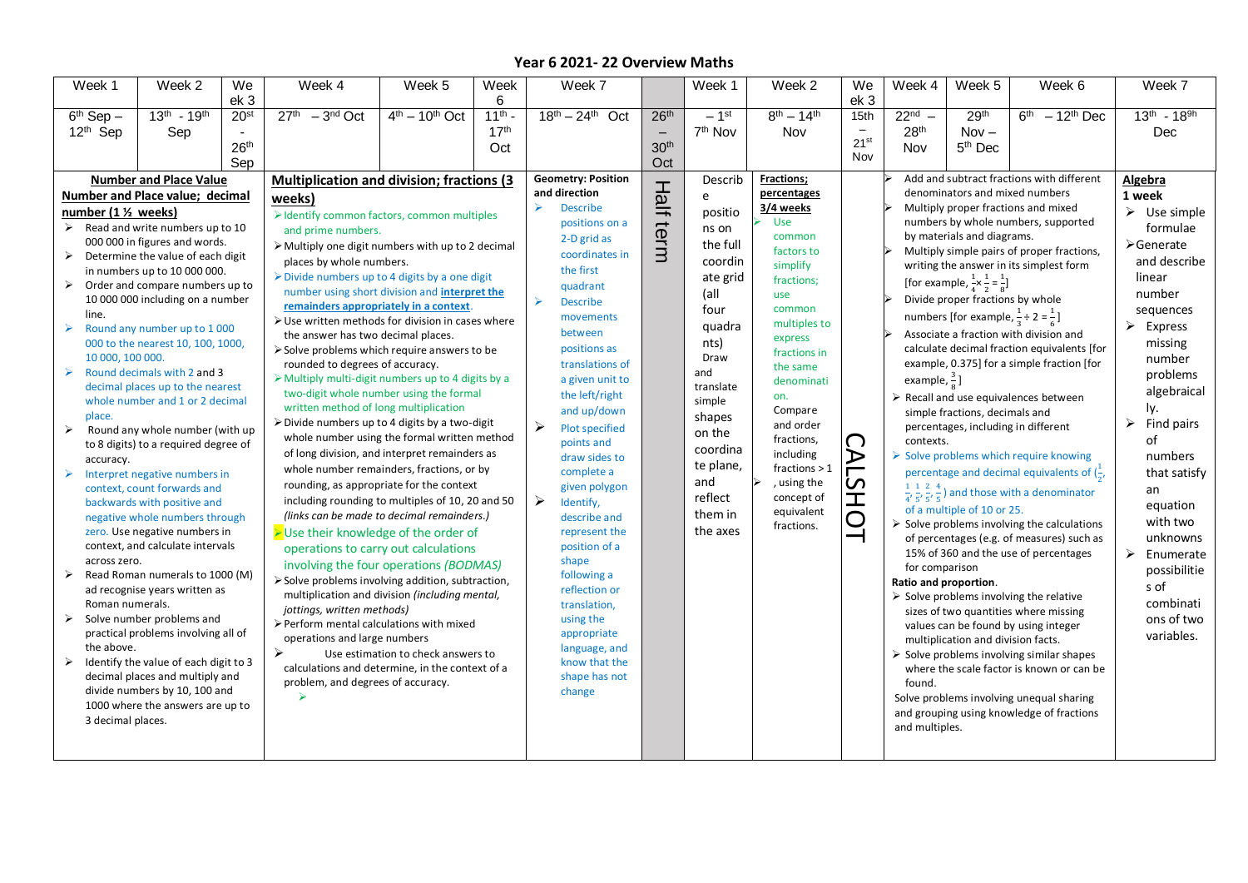| Week 1                | Week 2                                                              | We               | Week 4                                                                        | Week 5                             | Week             | Week 7                                 |                               | Week 1              | Week 2                                    | We                       | Week 4                                                         | Week 5                                                                | Week 6                                                                                    | Week 7                      |
|-----------------------|---------------------------------------------------------------------|------------------|-------------------------------------------------------------------------------|------------------------------------|------------------|----------------------------------------|-------------------------------|---------------------|-------------------------------------------|--------------------------|----------------------------------------------------------------|-----------------------------------------------------------------------|-------------------------------------------------------------------------------------------|-----------------------------|
|                       |                                                                     | ek 3             |                                                                               |                                    | 6                |                                        |                               |                     |                                           | ek 3                     |                                                                |                                                                       |                                                                                           |                             |
| $6th$ Sep $-$         | $13^{th} - 19^{th}$                                                 | 20 <sup>st</sup> | $27th - 3nd Oct$                                                              | $4th - 10th$ Oct                   | $11^{th}$ -      | $18^{th} - 24^{th}$ Oct                | 26 <sup>th</sup>              | $-1$ <sup>st</sup>  | $8^{th} - 14^{th}$                        | 15th                     | $22nd$ –                                                       | 29 <sup>th</sup>                                                      | $6th - 12th$ Dec                                                                          | $13^{th} - 18^{9h}$         |
| 12 <sup>th</sup> Sep  | Sep                                                                 |                  |                                                                               |                                    | 17 <sup>th</sup> |                                        | $\overline{\phantom{0}}$      | 7 <sup>th</sup> Nov | Nov                                       |                          | 28 <sup>th</sup>                                               | $Nov -$                                                               |                                                                                           | Dec                         |
|                       |                                                                     | 26 <sup>th</sup> |                                                                               |                                    | Oct              |                                        | 30 <sup>th</sup>              |                     |                                           | 21 <sup>st</sup>         | Nov                                                            | 5 <sup>th</sup> Dec                                                   |                                                                                           |                             |
|                       |                                                                     | Sep              |                                                                               |                                    |                  |                                        | Oct                           |                     |                                           | Nov                      |                                                                |                                                                       |                                                                                           |                             |
|                       | <b>Number and Place Value</b>                                       |                  | <b>Multiplication and division; fractions (3)</b>                             |                                    |                  | <b>Geometry: Position</b>              | 工                             | Describ             | <b>Fractions;</b>                         |                          |                                                                |                                                                       | Add and subtract fractions with different                                                 | Algebra                     |
|                       | Number and Place value; decimal                                     |                  | weeks)                                                                        |                                    |                  | and direction<br>$\blacktriangleright$ | 可                             | e                   | percentages                               |                          | denominators and mixed numbers                                 | 1 week                                                                |                                                                                           |                             |
| number (1 1/2 weeks)  |                                                                     |                  | > Identify common factors, common multiples                                   |                                    |                  | <b>Describe</b>                        |                               | positio             | 3/4 weeks                                 |                          |                                                                |                                                                       | Multiply proper fractions and mixed                                                       | $\triangleright$ Use simple |
| $\blacktriangleright$ | Read and write numbers up to 10                                     |                  | and prime numbers.                                                            |                                    |                  | positions on a                         | term                          | ns on               | <b>Use</b><br>common                      |                          |                                                                | by materials and diagrams.                                            | numbers by whole numbers, supported                                                       | formulae                    |
|                       | 000 000 in figures and words.                                       |                  | > Multiply one digit numbers with up to 2 decimal                             |                                    |                  | 2-D grid as                            |                               | the full            | factors to                                |                          | Multiply simple pairs of proper fractions,                     | ≻Generate<br>and describe<br>linear<br>number                         |                                                                                           |                             |
| $\blacktriangleright$ | Determine the value of each digit                                   |                  | places by whole numbers.                                                      |                                    |                  | coordinates in                         |                               | coordin             | simplify                                  |                          | writing the answer in its simplest form                        |                                                                       |                                                                                           |                             |
|                       | in numbers up to 10 000 000.                                        |                  | $\triangleright$ Divide numbers up to 4 digits by a one digit                 |                                    |                  | the first                              |                               | ate grid            | fractions;<br>use                         |                          | [for example, $\frac{1}{4} \times \frac{1}{2} = \frac{1}{8}$ ] |                                                                       |                                                                                           |                             |
| ➤                     | Order and compare numbers up to<br>10 000 000 including on a number |                  | number using short division and interpret the                                 |                                    |                  | quadrant<br>$\blacktriangleright$      |                               | (all                |                                           |                          | Divide proper fractions by whole                               |                                                                       |                                                                                           |                             |
| line.                 |                                                                     |                  | remainders appropriately in a context.                                        |                                    |                  | <b>Describe</b>                        |                               | four                | common                                    |                          |                                                                | numbers [for example, $\frac{1}{2} \div 2 = \frac{1}{6}$ ]            |                                                                                           | sequences                   |
| $\blacktriangleright$ | Round any number up to 1000                                         |                  | $\triangleright$ Use written methods for division in cases where              |                                    |                  | movements                              |                               | quadra              | multiples to                              |                          |                                                                |                                                                       |                                                                                           | $\triangleright$ Express    |
|                       | 000 to the nearest 10, 100, 1000,                                   |                  | the answer has two decimal places.                                            |                                    |                  | between                                |                               | nts)                | express                                   |                          |                                                                |                                                                       | Associate a fraction with division and                                                    | missing                     |
| 10 000, 100 000.      |                                                                     |                  | Solve problems which require answers to be<br>rounded to degrees of accuracy. |                                    |                  | positions as<br>translations of        |                               | Draw                | fractions in                              |                          |                                                                |                                                                       | calculate decimal fraction equivalents [for<br>example, 0.375] for a simple fraction [for | number                      |
| $\blacktriangleright$ | Round decimals with 2 and 3                                         |                  | $\triangleright$ Multiply multi-digit numbers up to 4 digits by a             |                                    |                  | a given unit to                        |                               | and                 | the same                                  |                          | example, $\frac{3}{8}$ ]                                       |                                                                       |                                                                                           | problems                    |
|                       | decimal places up to the nearest                                    |                  | two-digit whole number using the formal                                       |                                    |                  |                                        | the left/right<br>and up/down | translate           | denominati<br>on.<br>Compare<br>and order |                          |                                                                | algebraical                                                           |                                                                                           |                             |
|                       | whole number and 1 or 2 decimal                                     |                  | written method of long multiplication                                         |                                    |                  |                                        |                               | simple              |                                           |                          | $\triangleright$ Recall and use equivalences between           | ly.                                                                   |                                                                                           |                             |
| place.                |                                                                     |                  | $\triangleright$ Divide numbers up to 4 digits by a two-digit                 |                                    |                  | $\blacktriangleright$                  |                               | shapes              |                                           |                          |                                                                | simple fractions, decimals and<br>percentages, including in different | $\triangleright$ Find pairs                                                               |                             |
| $\blacktriangleright$ | Round any whole number (with up                                     |                  | whole number using the formal written method                                  |                                    |                  | Plot specified                         |                               | on the              | fractions,                                | $\bigcap$                | contexts.                                                      |                                                                       |                                                                                           | of                          |
|                       | to 8 digits) to a required degree of                                |                  | of long division, and interpret remainders as                                 |                                    |                  | points and<br>draw sides to            |                               | coordina            | including                                 | ➢                        |                                                                |                                                                       | Solve problems which require knowing                                                      | numbers                     |
| accuracy.             | Interpret negative numbers in                                       |                  | whole number remainders, fractions, or by                                     |                                    |                  | complete a                             |                               | te plane,           | fractions $> 1$                           |                          |                                                                |                                                                       | percentage and decimal equivalents of $(\frac{1}{\alpha}, \frac{1}{\alpha})$              | that satisfy                |
|                       | context, count forwards and                                         |                  | rounding, as appropriate for the context                                      |                                    |                  | given polygon                          |                               | and                 | , using the                               | $\overline{5}$           |                                                                |                                                                       |                                                                                           | an                          |
|                       | backwards with positive and                                         |                  | including rounding to multiples of 10, 20 and 50                              |                                    |                  | $\blacktriangleright$<br>Identify,     |                               | reflect             | concept of                                | İ<br>O                   |                                                                |                                                                       | $\frac{1}{4}, \frac{1}{5}, \frac{2}{5}, \frac{4}{5}$ ) and those with a denominator       | equation                    |
|                       | negative whole numbers through                                      |                  | (links can be made to decimal remainders.)                                    |                                    |                  | describe and                           |                               | them in             | equivalent                                |                          |                                                                | of a multiple of 10 or 25.                                            |                                                                                           | with two                    |
|                       | zero. Use negative numbers in                                       |                  | >Use their knowledge of the order of                                          |                                    |                  | represent the                          |                               | the axes            | fractions.                                | $\overline{\phantom{0}}$ |                                                                |                                                                       | $\triangleright$ Solve problems involving the calculations                                |                             |
|                       | context, and calculate intervals                                    |                  | operations to carry out calculations                                          |                                    |                  | position of a                          |                               |                     |                                           |                          |                                                                |                                                                       | of percentages (e.g. of measures) such as<br>15% of 360 and the use of percentages        | unknowns                    |
| across zero.          |                                                                     |                  | involving the four operations (BODMAS)                                        |                                    |                  | shape                                  |                               |                     |                                           |                          | for comparison                                                 |                                                                       |                                                                                           | Enumerate<br>➤              |
| $\blacktriangleright$ | Read Roman numerals to 1000 (M)                                     |                  | > Solve problems involving addition, subtraction,                             |                                    |                  | following a                            |                               |                     |                                           |                          | Ratio and proportion.                                          |                                                                       |                                                                                           | possibilitie                |
|                       | ad recognise years written as                                       |                  | multiplication and division (including mental,                                |                                    |                  | reflection or                          |                               |                     |                                           |                          |                                                                |                                                                       | $\triangleright$ Solve problems involving the relative                                    | s of                        |
| Roman numerals.       |                                                                     |                  | jottings, written methods)                                                    |                                    |                  | translation,                           |                               |                     |                                           |                          |                                                                |                                                                       | sizes of two quantities where missing                                                     | combinati                   |
|                       | Solve number problems and                                           |                  | > Perform mental calculations with mixed                                      |                                    |                  | using the                              |                               |                     |                                           |                          |                                                                |                                                                       | values can be found by using integer                                                      | ons of two                  |
| the above.            | practical problems involving all of                                 |                  | operations and large numbers                                                  |                                    |                  | appropriate                            |                               |                     |                                           |                          |                                                                | multiplication and division facts.                                    |                                                                                           | variables.                  |
| $\blacktriangleright$ | Identify the value of each digit to 3                               |                  |                                                                               | Use estimation to check answers to |                  | language, and<br>know that the         |                               |                     |                                           |                          |                                                                |                                                                       | $\triangleright$ Solve problems involving similar shapes                                  |                             |
|                       | decimal places and multiply and                                     |                  | calculations and determine, in the context of a                               |                                    |                  | shape has not                          |                               |                     |                                           |                          |                                                                |                                                                       | where the scale factor is known or can be                                                 |                             |
|                       | divide numbers by 10, 100 and                                       |                  | problem, and degrees of accuracy.                                             |                                    |                  | change                                 |                               |                     |                                           |                          | found.                                                         |                                                                       |                                                                                           |                             |
|                       | 1000 where the answers are up to                                    |                  | ⋗                                                                             |                                    |                  |                                        |                               |                     |                                           |                          |                                                                |                                                                       | Solve problems involving unequal sharing                                                  |                             |
| 3 decimal places.     |                                                                     |                  |                                                                               |                                    |                  |                                        |                               |                     |                                           |                          |                                                                |                                                                       | and grouping using knowledge of fractions                                                 |                             |
|                       |                                                                     |                  |                                                                               |                                    |                  |                                        |                               |                     |                                           |                          | and multiples.                                                 |                                                                       |                                                                                           |                             |
|                       |                                                                     |                  |                                                                               |                                    |                  |                                        |                               |                     |                                           |                          |                                                                |                                                                       |                                                                                           |                             |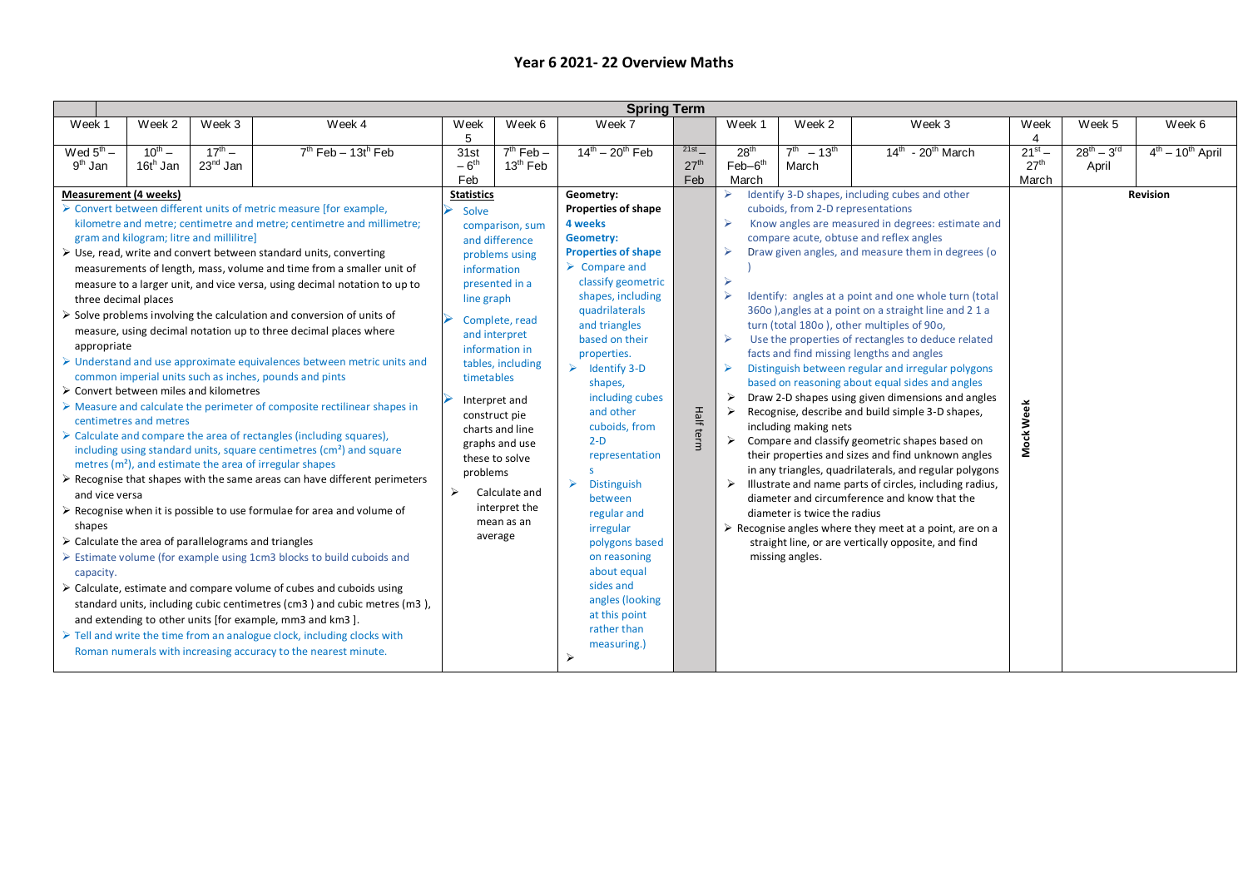| <b>Spring Term</b>                                                                                           |                                                                                                                                                                                                    |                           |                                                                                                                                                                                                                                                                                                                                                                                                                                                                                                                                                                                                                                                                                                                                                                                                                                                                                                                                                                                                                                                                                                                                                                                                                                                                                                                                                                                                                                                                                                                                                                                                                                                                                                                       |                                                                                        |                                                                                                                                                                                                                                                                                                     |                                                                                                                                                                                                                                                                                                                                                                                                                                                                                                                                                                                                         |                                 |                                                                                                                   |                                                                                                               |                                                                                                                                                                                                                                                                                                                                                                                                                                                                                                                                                                                                                                                                                                                                                                                                                                                                                                                                                                                                                                                                                                                          |                                          |                             |                    |
|--------------------------------------------------------------------------------------------------------------|----------------------------------------------------------------------------------------------------------------------------------------------------------------------------------------------------|---------------------------|-----------------------------------------------------------------------------------------------------------------------------------------------------------------------------------------------------------------------------------------------------------------------------------------------------------------------------------------------------------------------------------------------------------------------------------------------------------------------------------------------------------------------------------------------------------------------------------------------------------------------------------------------------------------------------------------------------------------------------------------------------------------------------------------------------------------------------------------------------------------------------------------------------------------------------------------------------------------------------------------------------------------------------------------------------------------------------------------------------------------------------------------------------------------------------------------------------------------------------------------------------------------------------------------------------------------------------------------------------------------------------------------------------------------------------------------------------------------------------------------------------------------------------------------------------------------------------------------------------------------------------------------------------------------------------------------------------------------------|----------------------------------------------------------------------------------------|-----------------------------------------------------------------------------------------------------------------------------------------------------------------------------------------------------------------------------------------------------------------------------------------------------|---------------------------------------------------------------------------------------------------------------------------------------------------------------------------------------------------------------------------------------------------------------------------------------------------------------------------------------------------------------------------------------------------------------------------------------------------------------------------------------------------------------------------------------------------------------------------------------------------------|---------------------------------|-------------------------------------------------------------------------------------------------------------------|---------------------------------------------------------------------------------------------------------------|--------------------------------------------------------------------------------------------------------------------------------------------------------------------------------------------------------------------------------------------------------------------------------------------------------------------------------------------------------------------------------------------------------------------------------------------------------------------------------------------------------------------------------------------------------------------------------------------------------------------------------------------------------------------------------------------------------------------------------------------------------------------------------------------------------------------------------------------------------------------------------------------------------------------------------------------------------------------------------------------------------------------------------------------------------------------------------------------------------------------------|------------------------------------------|-----------------------------|--------------------|
| Week 1                                                                                                       | Week 2                                                                                                                                                                                             | Week 3                    | Week 4                                                                                                                                                                                                                                                                                                                                                                                                                                                                                                                                                                                                                                                                                                                                                                                                                                                                                                                                                                                                                                                                                                                                                                                                                                                                                                                                                                                                                                                                                                                                                                                                                                                                                                                | Week<br>5                                                                              | Week 6                                                                                                                                                                                                                                                                                              | Week 7                                                                                                                                                                                                                                                                                                                                                                                                                                                                                                                                                                                                  |                                 | Week 1                                                                                                            | Week 2                                                                                                        | Week 3                                                                                                                                                                                                                                                                                                                                                                                                                                                                                                                                                                                                                                                                                                                                                                                                                                                                                                                                                                                                                                                                                                                   | Week<br>4                                | Week 5                      | Week 6             |
| Wed $5^{\text{th}}$ –<br>9 <sup>th</sup> Jan                                                                 | $10^{th} -$<br>16th Jan                                                                                                                                                                            | $17^{th} -$<br>$23nd$ Jan | $7th$ Feb - 13t <sup>h</sup> Feb                                                                                                                                                                                                                                                                                                                                                                                                                                                                                                                                                                                                                                                                                                                                                                                                                                                                                                                                                                                                                                                                                                                                                                                                                                                                                                                                                                                                                                                                                                                                                                                                                                                                                      | 31st<br>$-6th$<br>Feb                                                                  | $7th$ Feb $-$<br>$13th$ Feb                                                                                                                                                                                                                                                                         | $14^{th} - 20^{th}$ Feb                                                                                                                                                                                                                                                                                                                                                                                                                                                                                                                                                                                 | 21st<br>27 <sup>th</sup><br>Feb | 28 <sup>th</sup><br>$Feb-6th$<br>March                                                                            | $7^{th} - 13^{th}$<br>March                                                                                   | $14th$ - 20 <sup>th</sup> March                                                                                                                                                                                                                                                                                                                                                                                                                                                                                                                                                                                                                                                                                                                                                                                                                                                                                                                                                                                                                                                                                          | $21^{st} -$<br>27 <sup>th</sup><br>March | $28^{th} - 3^{rd}$<br>April | $4th - 10th$ April |
| <b>Measurement (4 weeks)</b><br>three decimal places<br>appropriate<br>and vice versa<br>shapes<br>capacity. | gram and kilogram; litre and millilitre]<br>$\triangleright$ Convert between miles and kilometres<br>centimetres and metres<br>$\triangleright$ Calculate the area of parallelograms and triangles |                           | > Convert between different units of metric measure [for example,<br>kilometre and metre; centimetre and metre; centimetre and millimetre;<br>$\triangleright$ Use, read, write and convert between standard units, converting<br>measurements of length, mass, volume and time from a smaller unit of<br>measure to a larger unit, and vice versa, using decimal notation to up to<br>$\triangleright$ Solve problems involving the calculation and conversion of units of<br>measure, using decimal notation up to three decimal places where<br>$\triangleright$ Understand and use approximate equivalences between metric units and<br>common imperial units such as inches, pounds and pints<br>$\triangleright$ Measure and calculate the perimeter of composite rectilinear shapes in<br>$\triangleright$ Calculate and compare the area of rectangles (including squares),<br>including using standard units, square centimetres (cm <sup>2</sup> ) and square<br>metres (m <sup>2</sup> ), and estimate the area of irregular shapes<br>$\triangleright$ Recognise that shapes with the same areas can have different perimeters<br>$\triangleright$ Recognise when it is possible to use formulae for area and volume of<br>$\triangleright$ Estimate volume (for example using 1cm3 blocks to build cuboids and<br>$\triangleright$ Calculate, estimate and compare volume of cubes and cuboids using<br>standard units, including cubic centimetres (cm3) and cubic metres (m3),<br>and extending to other units [for example, mm3 and km3].<br>$\triangleright$ Tell and write the time from an analogue clock, including clocks with<br>Roman numerals with increasing accuracy to the nearest minute. | <b>Statistics</b><br>Solve<br>information<br>line graph<br>timetables<br>problems<br>➤ | comparison, sum<br>and difference<br>problems using<br>presented in a<br>Complete, read<br>and interpret<br>information in<br>tables, including<br>Interpret and<br>construct pie<br>charts and line<br>graphs and use<br>these to solve<br>Calculate and<br>interpret the<br>mean as an<br>average | Geometry:<br><b>Properties of shape</b><br>4 weeks<br><b>Geometry:</b><br><b>Properties of shape</b><br>$\triangleright$ Compare and<br>classify geometric<br>shapes, including<br>quadrilaterals<br>and triangles<br>based on their<br>properties.<br>$\triangleright$ Identify 3-D<br>shapes,<br>including cubes<br>and other<br>cuboids, from<br>$2-D$<br>representation<br>s.<br>$\blacktriangleright$<br><b>Distinguish</b><br>between<br>regular and<br>irregular<br>polygons based<br>on reasoning<br>about equal<br>sides and<br>angles (looking<br>at this point<br>rather than<br>measuring.) | Half term                       | $\blacktriangleright$<br>$\blacktriangleright$<br>$\blacktriangleright$<br>$\triangleright$<br>⋗<br>$\rightarrow$ | cuboids, from 2-D representations<br>including making nets<br>diameter is twice the radius<br>missing angles. | Identify 3-D shapes, including cubes and other<br>Know angles are measured in degrees: estimate and<br>compare acute, obtuse and reflex angles<br>Draw given angles, and measure them in degrees (o<br>Identify: angles at a point and one whole turn (total<br>360o ), angles at a point on a straight line and 2 1 a<br>turn (total 1800), other multiples of 900,<br>Use the properties of rectangles to deduce related<br>facts and find missing lengths and angles<br>Distinguish between regular and irregular polygons<br>based on reasoning about equal sides and angles<br>Draw 2-D shapes using given dimensions and angles<br>Recognise, describe and build simple 3-D shapes,<br>$\triangleright$ Compare and classify geometric shapes based on<br>their properties and sizes and find unknown angles<br>in any triangles, quadrilaterals, and regular polygons<br>Illustrate and name parts of circles, including radius,<br>diameter and circumference and know that the<br>$\triangleright$ Recognise angles where they meet at a point, are on a<br>straight line, or are vertically opposite, and find | Week<br>Mock <sup>1</sup>                |                             | <b>Revision</b>    |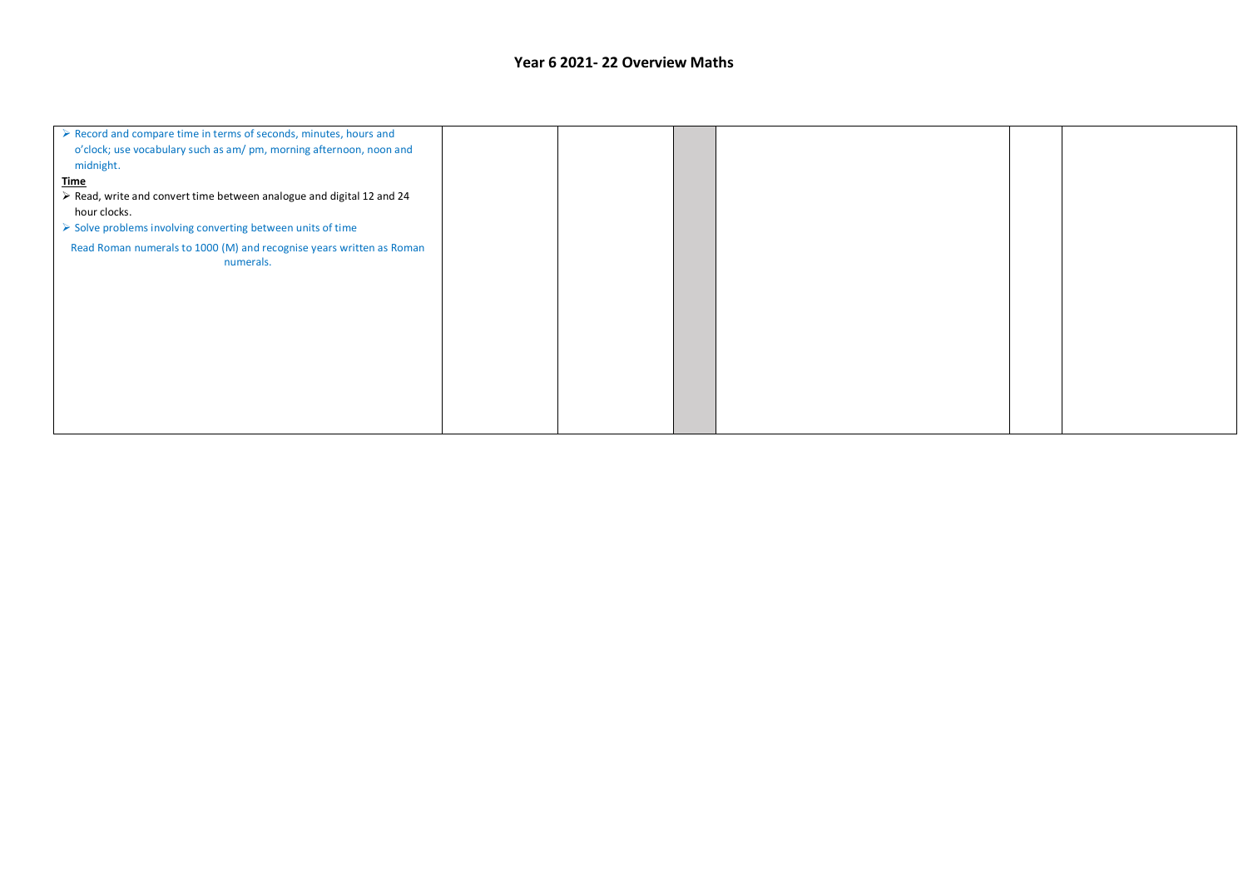| $\triangleright$ Record and compare time in terms of seconds, minutes, hours and<br>o'clock; use vocabulary such as am/ pm, morning afternoon, noon and |  |  |  |
|---------------------------------------------------------------------------------------------------------------------------------------------------------|--|--|--|
| midnight.                                                                                                                                               |  |  |  |
| <u>Time</u>                                                                                                                                             |  |  |  |
| > Read, write and convert time between analogue and digital 12 and 24                                                                                   |  |  |  |
| hour clocks.                                                                                                                                            |  |  |  |
| > Solve problems involving converting between units of time                                                                                             |  |  |  |
| Read Roman numerals to 1000 (M) and recognise years written as Roman<br>numerals.                                                                       |  |  |  |
|                                                                                                                                                         |  |  |  |
|                                                                                                                                                         |  |  |  |
|                                                                                                                                                         |  |  |  |
|                                                                                                                                                         |  |  |  |
|                                                                                                                                                         |  |  |  |
|                                                                                                                                                         |  |  |  |
|                                                                                                                                                         |  |  |  |
|                                                                                                                                                         |  |  |  |
|                                                                                                                                                         |  |  |  |
|                                                                                                                                                         |  |  |  |
|                                                                                                                                                         |  |  |  |